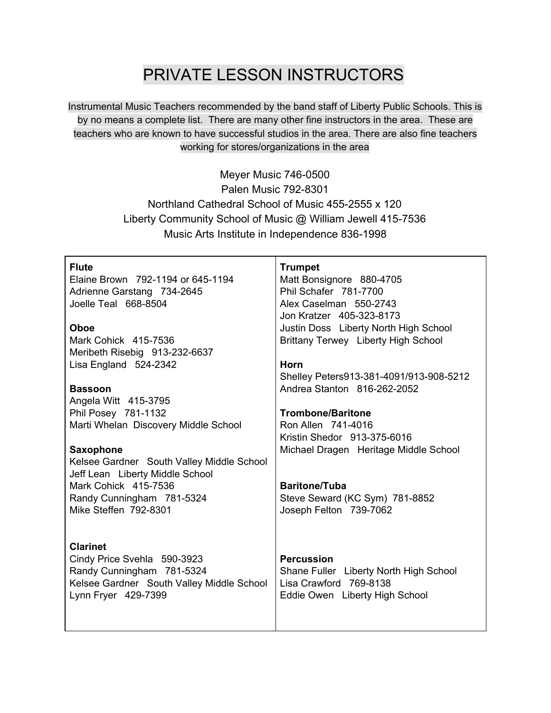## PRIVATE LESSON INSTRUCTORS

Instrumental Music Teachers recommended by the band staff of Liberty Public Schools. This is by no means a complete list. There are many other fine instructors in the area. These are teachers who are known to have successful studios in the area. There are also fine teachers working for stores/organizations in the area

> Meyer Music 746-0500 Palen Music 792-8301 Northland Cathedral School of Music 455-2555 x 120 Liberty Community School of Music @ William Jewell 415-7536 Music Arts Institute in Independence 836-1998

| <b>Flute</b><br>Elaine Brown 792-1194 or 645-1194<br>Adrienne Garstang 734-2645<br>Joelle Teal 668-8504                      | <b>Trumpet</b><br>Matt Bonsignore 880-4705<br>Phil Schafer 781-7700<br>Alex Caselman 550-2743<br>Jon Kratzer 405-323-8173 |
|------------------------------------------------------------------------------------------------------------------------------|---------------------------------------------------------------------------------------------------------------------------|
| Oboe                                                                                                                         | Justin Doss Liberty North High School                                                                                     |
| Mark Cohick 415-7536<br>Meribeth Risebig 913-232-6637                                                                        | Brittany Terwey Liberty High School                                                                                       |
| Lisa England 524-2342                                                                                                        | Horn                                                                                                                      |
|                                                                                                                              | Shelley Peters913-381-4091/913-908-5212                                                                                   |
| <b>Bassoon</b>                                                                                                               | Andrea Stanton 816-262-2052                                                                                               |
| Angela Witt 415-3795                                                                                                         |                                                                                                                           |
| Phil Posey 781-1132                                                                                                          | <b>Trombone/Baritone</b>                                                                                                  |
| Marti Whelan Discovery Middle School                                                                                         | Ron Allen 741-4016                                                                                                        |
|                                                                                                                              | Kristin Shedor 913-375-6016                                                                                               |
| <b>Saxophone</b><br>Kelsee Gardner South Valley Middle School<br>Jeff Lean Liberty Middle School                             | Michael Dragen Heritage Middle School                                                                                     |
| Mark Cohick 415-7536                                                                                                         | <b>Baritone/Tuba</b>                                                                                                      |
| Randy Cunningham 781-5324                                                                                                    | Steve Seward (KC Sym) 781-8852                                                                                            |
| Mike Steffen 792-8301                                                                                                        | Joseph Felton 739-7062                                                                                                    |
|                                                                                                                              |                                                                                                                           |
| <b>Clarinet</b>                                                                                                              |                                                                                                                           |
| Cindy Price Svehla 590-3923<br>Randy Cunningham 781-5324<br>Kelsee Gardner South Valley Middle School<br>Lynn Fryer 429-7399 | <b>Percussion</b><br>Shane Fuller Liberty North High School<br>Lisa Crawford 769-8138<br>Eddie Owen Liberty High School   |
|                                                                                                                              |                                                                                                                           |